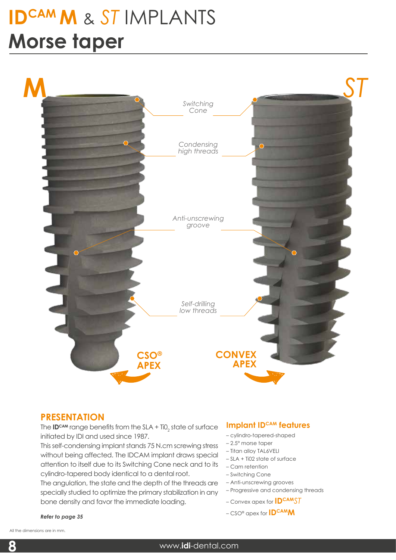# **IDCAM M** & *ST* IMPLANTS **Morse taper**



## **PRESENTATION**

The **ID<sup>cam</sup>** range benefits from the SLA + Ti0<sub>2</sub> state of surface initiated by IDI and used since 1987.

This self-condensing implant stands 75 N.cm screwing stress without being affected. The IDCAM implant draws special attention to itself due to its Switching Cone neck and to its cylindro-tapered body identical to a dental root.

The angulation, the state and the depth of the threads are specially studied to optimize the primary stabilization in any bone density and favor the immediate loading.

#### *Refer to page 35*

#### **Implant IDCAM features**

- cylindro-tapered-shaped
- 2.5° morse taper
- Titan alloy TAL6VELI
- SLA + Ti02 state of surface
- Cam retention
- Switching Cone
- Anti-unscrewing grooves
- Progressive and condensing threads
- Convex apex for **IDCAM***ST*
- CSO® apex for **IDCAMM**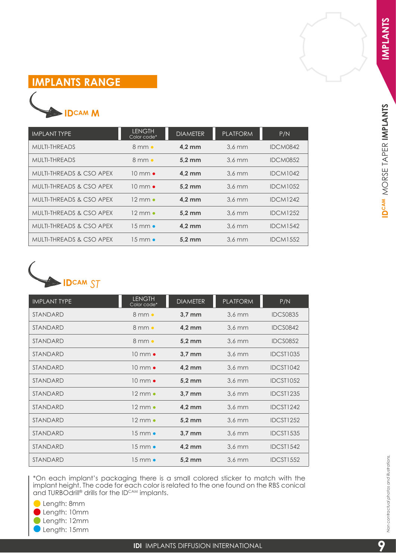IDCAM MORSE TAPER IMPLANTS

# **IMPLANTS RANGE**

# **IDCAM M**

| <b>IMPLANT TYPE</b>                 | <b>LENGTH</b><br>Color code* | <b>DIAMETER</b>  | <b>PLATFORM</b>  | P/N             |
|-------------------------------------|------------------------------|------------------|------------------|-----------------|
| MULTI-THREADS                       | $8 \text{ mm}$ $\bullet$     | $4.2 \text{ mm}$ | $3.6 \text{ mm}$ | <b>IDCM0842</b> |
| <b>MULTI-THREADS</b>                | $8 \text{ mm}$ $\bullet$     | $5.2 \text{ mm}$ | $3.6 \text{ mm}$ | <b>IDCM0852</b> |
| MULTI-THREADS & CSO APEX            | $10 \text{ mm} \bullet$      | $4,2$ mm         | $3.6 \text{ mm}$ | <b>IDCM1042</b> |
| MULTI-THREADS & CSO APEX            | $10 \text{ mm} \bullet$      | 5.2 mm           | $3.6$ mm         | <b>IDCM1052</b> |
| <b>MULTI-THREADS &amp; CSO APEX</b> | 12 mm $\bullet$              | $4.2 \text{ mm}$ | $3.6$ mm         | <b>IDCM1242</b> |
| <b>MULTI-THREADS &amp; CSO APEX</b> | 12 mm $\bullet$              | 5.2 mm           | $3.6$ mm         | <b>IDCM1252</b> |
| <b>MULTI-THREADS &amp; CSO APEX</b> | 15 mm $\bullet$              | $4.2$ mm         | $3.6$ mm         | <b>IDCM1542</b> |
| MULTI-THREADS & CSO APEX            | 1.5 mm $\bullet$             | $5.2 \text{ mm}$ | $3.6 \text{ mm}$ | <b>IDCM1552</b> |



| <b>IMPLANT TYPE</b> | <b>LENGTH</b><br>Color code* | <b>DIAMETER</b>  | <b>PLATFORM</b>      | P/N              |
|---------------------|------------------------------|------------------|----------------------|------------------|
| <b>STANDARD</b>     | $8$ mm $\bullet$             | $3.7 \text{ mm}$ | $3.6 \, \mathrm{mm}$ | <b>IDCS0835</b>  |
| <b>STANDARD</b>     | $8$ mm $\bullet$             | $4.2$ mm         | $3.6$ mm             | <b>IDCS0842</b>  |
| <b>STANDARD</b>     | $8$ mm $\bullet$             | $5.2 \text{ mm}$ | $3.6$ mm             | <b>IDCS0852</b>  |
| <b>STANDARD</b>     | $10 \text{ mm}$ $\bullet$    | $3.7 \text{ mm}$ | $3.6$ mm             | <b>IDCST1035</b> |
| <b>STANDARD</b>     | $10 \text{ mm}$ $\bullet$    | $4.2$ mm         | $3.6$ mm             | IDCST1042        |
| <b>STANDARD</b>     | $10 \text{ mm}$ $\bullet$    | $5.2 \text{ mm}$ | $3.6 \text{ mm}$     | <b>IDCST1052</b> |
| <b>STANDARD</b>     | $12 \text{ mm}$              | $3.7 \text{ mm}$ | $3.6$ mm             | IDCST1235        |
| <b>STANDARD</b>     | $12 \text{ mm}$ $\bullet$    | $4.2$ mm         | $3.6 \text{ mm}$     | <b>IDCST1242</b> |
| <b>STANDARD</b>     | $12 \text{ mm} \bullet$      | $5.2 \text{ mm}$ | $3.6$ mm             | <b>IDCST1252</b> |
| <b>STANDARD</b>     | $15 \text{ mm}$ $\bullet$    | 3,7 mm           | $3.6$ mm             | <b>IDCST1535</b> |
| <b>STANDARD</b>     | $15 \text{ mm}$ $\bullet$    | $4.2$ mm         | $3.6$ mm             | <b>IDCST1542</b> |
| <b>STANDARD</b>     | $15 \text{ mm}$ $\bullet$    | $5.2 \text{ mm}$ | $3.6 \text{ mm}$     | <b>IDCST1552</b> |

\*On each implant's packaging there is a small colored sticker to match with the implant height. The code for each color is related to the one found on the RBS conical and TURBOdrill® drills for the ID<sup>cam</sup> implants.

**C** Length: 8mm Length: 10mm Length: 12mm

Length: 15mm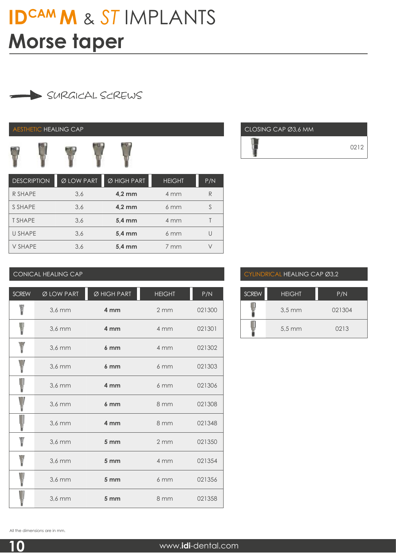# **IDCAM M** & *ST* IMPLANTS **Morse taper**

# SURGICAL SCREWS

#### AESTHETIC HEALING CAP



| <b>DESCRIPTION</b> | $\overline{\emptyset}$ LOW PART | Ø HIGH PART      | <b>HEIGHT</b>      | P/N |
|--------------------|---------------------------------|------------------|--------------------|-----|
| R SHAPE            | 3,6                             | $4.2 \text{ mm}$ | 4 mm               |     |
| S SHAPE            | 3,6                             | $4.2 \text{ mm}$ | $6 \text{ mm}$     |     |
| <b>T SHAPE</b>     | 3,6                             | $5.4 \text{ mm}$ | 4 mm               |     |
| <b>U SHAPE</b>     | 3,6                             | 5,4 mm           | $6 \, \mathrm{mm}$ |     |
| <b>V SHAPE</b>     | 3,6                             | 5,4 mm           | 7 mm               |     |



#### CONICAL HEALING CAP

| <b>SCREW</b> | Ø LOW PART | Ø HIGH PART     | <b>HEIGHT</b>    | P/N    |
|--------------|------------|-----------------|------------------|--------|
|              | $3.6$ mm   | 4 mm            | 2mm              | 021300 |
|              | 3.6 mm     | 4 mm            | 4 mm             | 021301 |
|              | $3,6$ mm   | 6 <sub>mm</sub> | 4 mm             | 021302 |
|              | $3.6$ mm   | 6 <sub>mm</sub> | 6mm              | 021303 |
|              | $3.6$ mm   | 4 mm            | 6mm              | 021306 |
|              | $3.6$ mm   | 6 <sub>mm</sub> | 8 mm             | 021308 |
|              | $3.6$ mm   | 4 mm            | 8 mm             | 021348 |
|              | $3.6$ mm   | 5 <sub>mm</sub> | $2 \, \text{mm}$ | 021350 |
|              | $3,6$ mm   | 5 <sub>mm</sub> | 4 mm             | 021354 |
|              | $3.6$ mm   | 5 <sub>mm</sub> | 6mm              | 021356 |
|              | 3,6 mm     | 5 mm            | 8 mm             | 021358 |

#### CYLINDRICAL HEALING CAP Ø3,2

| <b>SCREW</b> | <b>HEIGHT</b>        | P/N    |
|--------------|----------------------|--------|
|              | $3.5 \, \text{mm}$   | 021304 |
|              | $5.5 \, \mathrm{mm}$ | 0213   |

All the dimensions are in mm.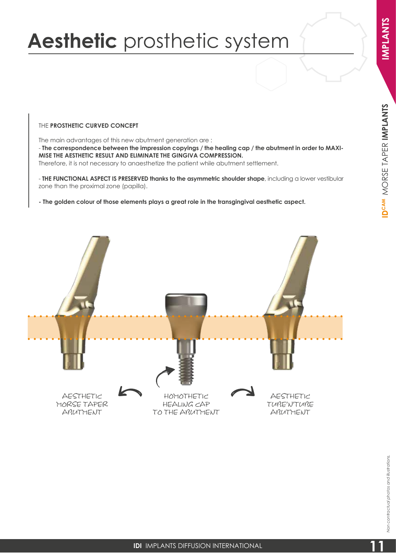# MORSE TAPER **IMPLANTS D<sup>CAM</sup>** MORSE TAPER **IMPLANTS**

# **Aesthetic** prosthetic system

THE **PROSTHETIC CURVED CONCEPT** 

The main advantages of this new abutment generation are : - **The correspondence between the impression copyings / the healing cap / the abutment in order to MAXI-MISE THE AESTHETIC RESULT AND ELIMINATE THE GINGIVA COMPRESSION.** Therefore, it is not necessary to anaesthetize the patient while abutment settlement.

- **THE FUNCTIONAL ASPECT IS PRESERVED thanks to the asymmetric shoulder shape**, including a lower vestibular zone than the proximal zone (papilla).

**- The golden colour of those elements plays a great role in the transgingival aesthetic aspect.** 

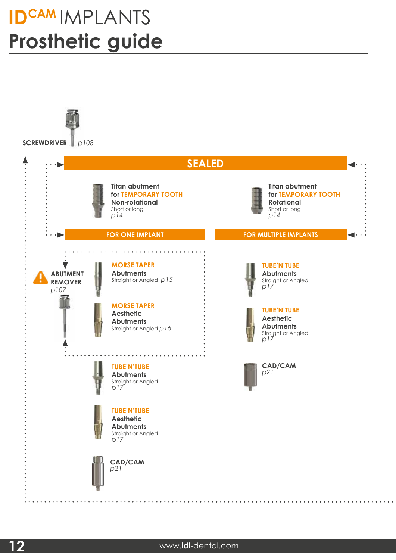# **IDCAM** IMPLANTS **Prosthetic guide**

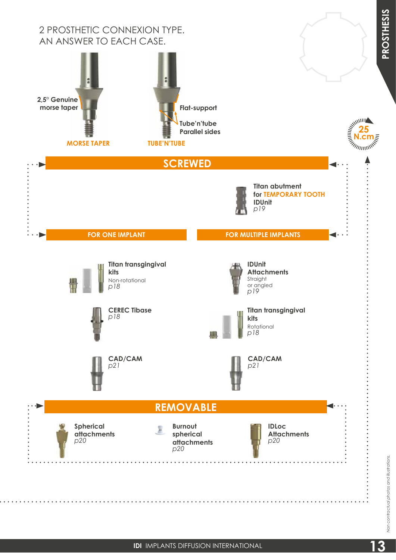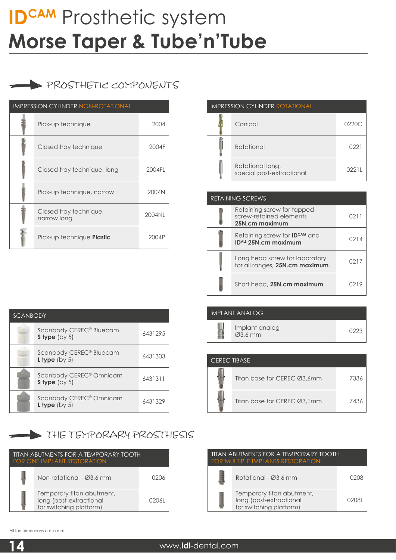# PROSTHETIC COMPONENTS

| <b>IMPRESSION CYLINDER NON-ROTATIONAL</b> |                                       |        |
|-------------------------------------------|---------------------------------------|--------|
|                                           | Pick-up technique                     | 2004   |
|                                           | Closed tray technique                 | 2004F  |
|                                           | Closed tray technique, long           | 2004FL |
|                                           | Pick-up technique, narrow             | 2004N  |
|                                           | Closed tray technique,<br>narrow long | 2004NL |
|                                           | Pick-up technique <b>Plastic</b>      | 2004P  |

| <b>IMPRESSION CYLINDER ROTATIONAL</b> |                                               |       |  |
|---------------------------------------|-----------------------------------------------|-------|--|
|                                       | Conical                                       | 0220C |  |
|                                       | Rotational                                    | 022.  |  |
|                                       | Rotational long,<br>special post-extractional | 0221L |  |

| <b>RETAINING SCREWS</b> |                                                                         |      |
|-------------------------|-------------------------------------------------------------------------|------|
|                         | Retaining screw for tapped<br>screw-retained elements<br>25N.cm maximum | 021. |
|                         | Retaining screw for <b>IDCAM</b> and<br><b>IDALL 25N.cm maximum</b>     | 0214 |
|                         | Long head screw for laboratory<br>for all ranges, 25N.cm maximum        | 0217 |
|                         | Short head, 25N.cm maximum                                              | 1219 |

| <b>SCANBODY</b> |                                                               |         |  |
|-----------------|---------------------------------------------------------------|---------|--|
|                 | Scanbody CEREC <sup>®</sup> Bluecam<br>S type $(by 5)$        | 6431295 |  |
|                 | Scanbody CEREC <sup>®</sup> Bluecam<br><b>L</b> type $(by 5)$ | 6431303 |  |
|                 | Scanbody CEREC <sup>®</sup> Omnicam<br>S type $(by 5)$        | 6431311 |  |
|                 | Scanbody CEREC <sup>®</sup> Omnicam<br>L type $(by 5)$        | 6431329 |  |

## THE TEMPORARY PROSTHESIS

| TITAN ABUTMENTS FOR A TEMPORARY TOOTH<br><b>FOR ONE IMPLANT RESTORATION</b> |                                                                                 |       |
|-----------------------------------------------------------------------------|---------------------------------------------------------------------------------|-------|
|                                                                             | Non-rotational - Ø3.6 mm                                                        | በ2በ6  |
|                                                                             | Temporary titan abutment,<br>long (post-extractional<br>for switching platform) | 02061 |

| IMPLANT ANALOG                         |      |
|----------------------------------------|------|
| Implant analog<br>$\varnothing$ 3,6 mm | 0223 |

| <b>CERECTIBASE</b> |                             |      |
|--------------------|-----------------------------|------|
|                    | Titan base for CEREC Ø3,6mm | 7336 |
|                    | Titan base for CEREC Ø3.1mm | 7436 |

| <u>TITAN ABUTMENTS FOR A TEMPORARY TOOTH</u><br><b>FOR MULTIPLE IMPLANTS RESTORATION</b> |                                                                                 |       |  |
|------------------------------------------------------------------------------------------|---------------------------------------------------------------------------------|-------|--|
|                                                                                          | Rotational - Ø3.6 mm                                                            | 0208  |  |
|                                                                                          | Temporary titan abutment,<br>long (post-extractional<br>for switching platform) | 02081 |  |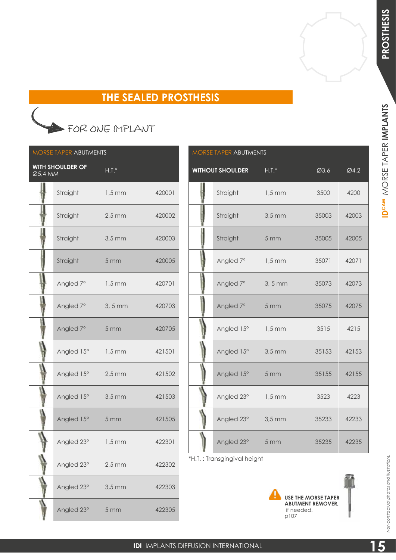## **THE SEALED PROSTHESIS**

# FOR ONE IMPLANT

| <b>MORSE TAPER ABUTMENTS</b>  |                            |                     |        |  |  |
|-------------------------------|----------------------------|---------------------|--------|--|--|
| $\overline{\emptyset}$ 5,4 MM | <b>WITH SHOULDER OF</b>    | $\overline{H.T.*}$  |        |  |  |
|                               | Straight 1,5 mm            |                     | 420001 |  |  |
|                               | Straight                   | $2,5 \text{ mm}$    | 420002 |  |  |
|                               | Straight                   | $3,5$ mm            | 420003 |  |  |
|                               | Straight                   | 5 <sub>mm</sub>     | 420005 |  |  |
|                               | Angled 7°                  | $1,5 \, \text{mm}$  | 420701 |  |  |
|                               | Angled 7°                  | $3, 5 \, \text{mm}$ | 420703 |  |  |
|                               | Angled 7° 5 mm             |                     | 420705 |  |  |
|                               | Angled $15^{\circ}$ 1,5 mm |                     | 421501 |  |  |
|                               | Angled $15^{\circ}$ 2,5 mm |                     | 421502 |  |  |
|                               | Angled 15°                 | $3,5$ mm            | 421503 |  |  |
|                               | Angled 15°                 | 5 <sub>mm</sub>     | 421505 |  |  |
|                               | Angled 23°                 | $1,5 \text{ mm}$    | 422301 |  |  |
|                               | Angled 23°                 | $2,5$ mm            | 422302 |  |  |
|                               | Angled 23°                 | $3,5$ mm            | 422303 |  |  |
|                               | Angled 23°                 | 5 mm                | 422305 |  |  |

| MORSE TAPER ABUTMENTS |                         |                 |       |       |
|-----------------------|-------------------------|-----------------|-------|-------|
|                       | <b>WITHOUT SHOULDER</b> | $H.I.*$         | Ø3,6  | Ø4,2  |
|                       | Straight                | $1,5$ mm        | 3500  | 4200  |
|                       | Straight                | $3,5$ mm        | 35003 | 42003 |
|                       | Straight                | 5 <sub>mm</sub> | 35005 | 42005 |
|                       | Angled 7°               | $1,5$ mm        | 35071 | 42071 |
|                       | Angled 7°               | $3, 5$ mm       | 35073 | 42073 |
|                       | Angled 7°               | 5 <sub>mm</sub> | 35075 | 42075 |
|                       | Angled 15°              | $1,5$ mm        | 3515  | 4215  |
|                       | Angled 15°              | $3,5$ mm        | 35153 | 42153 |
|                       | Angled 15°              | 5 <sub>mm</sub> | 35155 | 42155 |
|                       | Angled 23°              | $1,5$ mm        | 3523  | 4223  |
|                       | Angled 23°              | $3,5$ mm        | 35233 | 42233 |
|                       | Angled 23°              | 5 mm            | 35235 | 42235 |

\*H.T. : Transgingival height



*Non contractual photos and illustrations.*

Non contractual photos and illustrations.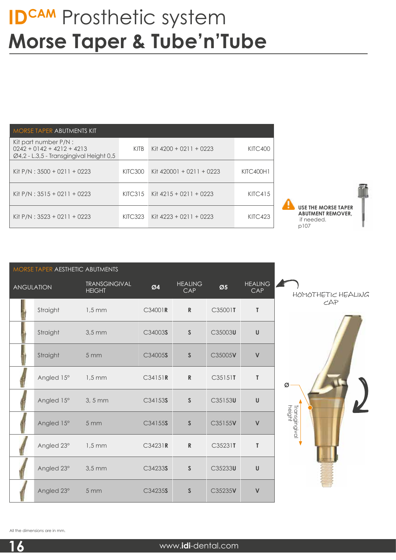| MORSE TAPER ABUTMENTS KIT                                                                                    |                |                            |                  |
|--------------------------------------------------------------------------------------------------------------|----------------|----------------------------|------------------|
| Kit part number P/N :<br>$0242 + 0142 + 4212 + 4213$<br>$\varnothing$ 4,2 - L.3,5 - Transgingival Height 0,5 | <b>KITB</b>    | Kit $4200 + 0211 + 0223$   | KITC400          |
| Kit P/N: 3500 + 0211 + 0223                                                                                  | KITC300        | Kit $420001 + 0211 + 0223$ | <b>KITC400H1</b> |
| Kit $P/N$ : 3515 + 0211 + 0223                                                                               | KITC315        | Kit $4215 + 0211 + 0223$   | KITC415          |
| Kit P/N : $3523 + 0211 + 0223$                                                                               | <b>KITC323</b> | Kit $4223 + 0211 + 0223$   | KITC423          |



|                   | MORSE TAPER AESTHETIC ABUTMENTS |                                       |         |                              |         |                       |                         |
|-------------------|---------------------------------|---------------------------------------|---------|------------------------------|---------|-----------------------|-------------------------|
| <b>ANGULATION</b> |                                 | <b>TRANSGINGIVAL</b><br><b>HEIGHT</b> | Ø4      | <b>HEALING</b><br><b>CAP</b> | Ø5      | <b>HEALING</b><br>CAP | HOMOTHETIC              |
|                   | Straight                        | $1,5$ mm                              | C34001R | $\mathbb{R}$                 | C35001T | $\mathsf T$           | CAP                     |
|                   | Straight                        | $3,5$ mm                              | C34003S | $\mathsf{S}$                 | C35003U | $\sf U$               |                         |
|                   | Straight                        | 5 <sub>mm</sub>                       | C34005S | $\mathsf{S}$                 | C35005V | $\mathsf{V}$          |                         |
|                   | Angled 15°                      | $1,5 \text{ mm}$                      | C34151R | ${\sf R}$                    | C35151T | $\mathsf{T}$          | Ø                       |
|                   | Angled 15°                      | $3, 5$ mm                             | C34153S | $\mathsf S$                  | C35153U | $\sf U$               |                         |
|                   | Angled 15°                      | 5 <sub>mm</sub>                       | C34155S | $\mathsf S$                  | C35155V | $\mathsf{V}$          | Transgingival<br>height |
|                   | Angled 23°                      | $1,5 \text{ mm}$                      | C34231R | ${\sf R}$                    | C35231T | T                     |                         |
|                   | Angled 23°                      | $3,5$ mm                              | C34233S | $\mathsf S$                  | C35233U | $\sf U$               |                         |
|                   | Angled 23°                      | 5 mm                                  | C34235S | $\mathsf{S}$                 | C35235V | $\mathsf{V}$          |                         |

HEALING CAP



All the dimensions are in mm.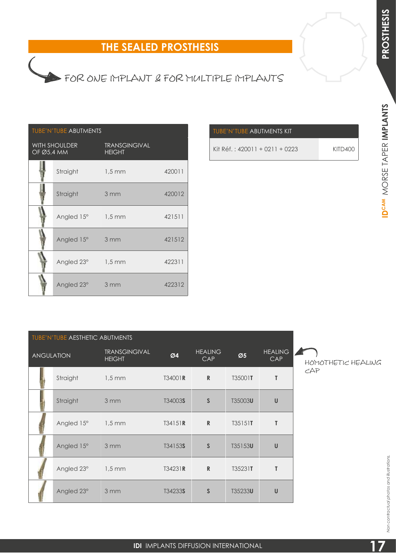# **IDCAM PROSTHESIS**IDCAM MORSE TAPER IMPLANTS MORSE TAPER **IMPLANTS**

# FOR ONE IMPLANT & FOR MULTIPLE IMPLANTS

## TUBE'N'TUBE ABUTMENTS

| OF Ø5,4 MM | <b>WITH SHOULDER</b> | <b>TRANSGINGIVAL</b><br><b>HEIGHT</b> |        |
|------------|----------------------|---------------------------------------|--------|
|            | Straight             | $1,5 \, \text{mm}$                    | 420011 |
|            | Straight             | 3 mm                                  | 420012 |
|            | Angled 15° 1,5 mm    |                                       | 421511 |
|            | Angled 15°           | 3 mm                                  | 421512 |
|            | Angled 23°           | $1,5 \, \text{mm}$                    | 422311 |
|            | Angled 23°           | 3 mm                                  | 422312 |

| TUBE'N'TUBE ABUTMENTS KIT      |         |
|--------------------------------|---------|
| Kit Réf.: 420011 + 0211 + 0223 | KITD400 |

| TUBE'N'TUBE AESTHETIC ABUTMENTS |                            |                                       |         |                       |                          |                       |    |
|---------------------------------|----------------------------|---------------------------------------|---------|-----------------------|--------------------------|-----------------------|----|
| <b>ANGULATION</b>               |                            | <b>TRANSGINGIVAL</b><br><b>HEIGHT</b> | Ø4      | <b>HEALING</b><br>CAP | $\emptyset$ <sub>5</sub> | <b>HEALING</b><br>CAP | HO |
|                                 | Straight                   | $1,5$ mm                              | T34001R | $\mathbb{R}$          | T35001T                  | $\mathsf{T}$          | CA |
|                                 | Straight                   | 3mm                                   | T34003S | $\mathsf{S}$          | T35003U                  | $\cup$                |    |
|                                 | Angled $15^{\circ}$ 1,5 mm |                                       | T34151R | $\mathbb{R}$          | T35151T                  | $\mathsf{T}$          |    |
|                                 | Angled 15°                 | 3mm                                   | T34153S | $\mathsf{S}$          | T35153U                  | $\cup$                |    |
|                                 | Angled 23°                 | $1,5 \text{ mm}$                      | T34231R | $\mathbb{R}$          | T35231T                  | T                     |    |
|                                 | Angled 23°                 | 3mm                                   | T34233S | $\mathsf{S}$          | T35233U                  | $\mathsf{U}$          |    |

 $\setminus$ MOTHETIC HEALING P,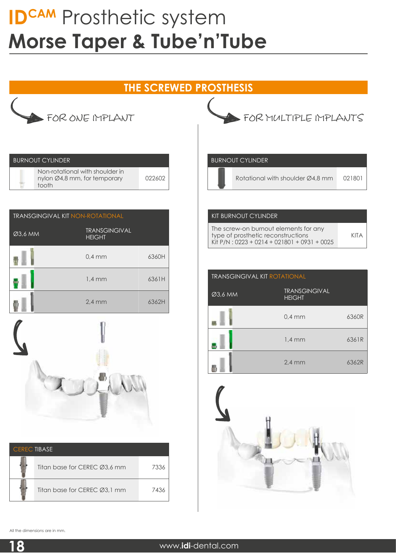## **THE SCREWED PROSTHESIS**



| <b>BURNOUT CYLINDER</b>                                                  |        |
|--------------------------------------------------------------------------|--------|
| Non-rotational with shoulder in<br>nylon Ø4,8 mm, for temporary<br>tooth | 022602 |

| <b>TRANSGINGIVAL KIT NON-ROTATIONAL</b> |                                       |       |  |  |  |
|-----------------------------------------|---------------------------------------|-------|--|--|--|
| Ø3,6 MM                                 | <b>TRANSGINGIVAL</b><br><b>HEIGHT</b> |       |  |  |  |
|                                         | $0,4$ mm                              | 6360H |  |  |  |
|                                         | $1.4 \text{ mm}$                      | 6361H |  |  |  |
|                                         | $2,4$ mm                              | 6362H |  |  |  |



| <b>CERECTIBASE</b> |                              |      |
|--------------------|------------------------------|------|
|                    | Titan base for CEREC Ø3,6 mm | 7336 |
|                    | Titan base for CEREC Ø3.1 mm | 7436 |

FOR MULTIPLE IMPLANTS

#### BURNOUT CYLINDER

Rotational with shoulder Ø4,8 mm 021801

#### KIT BURNOUT CYLINDER

| The screw-on burnout elements for any         |      |
|-----------------------------------------------|------|
| type of prosthetic reconstructions            | KITA |
| Kit P/N: $0223 + 0214 + 021801 + 0931 + 0025$ |      |

| <b>TRANSGINGIVAL KIT ROTATIONAL</b> |                                       |       |
|-------------------------------------|---------------------------------------|-------|
| Ø3,6 MM                             | <b>TRANSGINGIVAL</b><br><b>HEIGHT</b> |       |
|                                     | $0.4$ mm                              | 6360R |
|                                     | $1,4$ mm                              | 6361R |
|                                     | $2,4$ mm                              | 6362R |



All the dimensions are in mm.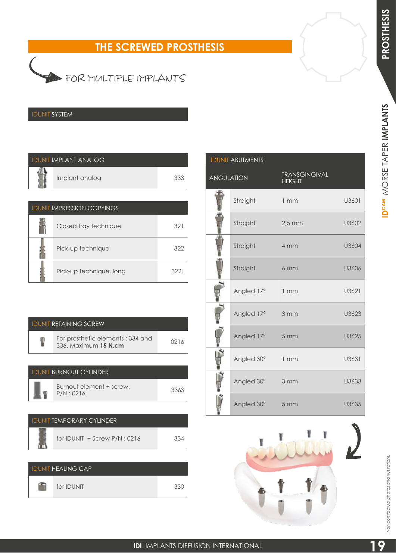MORSE TAPER **IMPLANTS**

IDCAM MORSE TAPER IMPLANTS

# **THE SCREWED PROSTHESIS**



## IDUNIT SYSTEM

| <b>IDUNIT IMPLANT ANALOG</b> |  |
|------------------------------|--|
| Implant analog               |  |

| <b>IDUNIT IMPRESSION COPYINGS</b> |                         |     |
|-----------------------------------|-------------------------|-----|
|                                   | Closed tray technique   | 32  |
|                                   | Pick-up technique       | 32' |
|                                   | Pick-up technique, long | 322 |

| <b>IDUNIT RETAINING SCREW</b>                            |      |
|----------------------------------------------------------|------|
| For prosthetic elements: 334 and<br>336. Maximum 15 N.cm | 0216 |
|                                                          |      |

| <b>IDUNIT BURNOUT CYLINDER</b>        |      |
|---------------------------------------|------|
| Burnout element + screw.<br>P/N: 0216 | 336S |

| <u>IDUNIT TEMPORARY CYLINDER</u> |     |
|----------------------------------|-----|
| for IDUNIT $+$ Screw P/N : 0216  | 334 |
|                                  |     |

| <b>IDUNIT HEALING CAP</b> |     |
|---------------------------|-----|
| for <b>IDUNIT</b>         | 330 |

| <b>IDUNIT ABUTMENTS</b> |            |                                       |       |
|-------------------------|------------|---------------------------------------|-------|
| <b>ANGULATION</b>       |            | <b>TRANSGINGIVAL</b><br><b>HEIGHT</b> |       |
|                         | Straight   | 1mm                                   | U3601 |
|                         | Straight   | $2,5$ mm                              | U3602 |
|                         | Straight   | 4 mm                                  | U3604 |
|                         | Straight   | 6 mm                                  | U3606 |
|                         | Angled 17° | 1mm                                   | U3621 |
|                         | Angled 17° | 3 mm                                  | U3623 |
|                         | Angled 17° | 5 mm                                  | U3625 |
|                         | Angled 30° | 1mm                                   | U3631 |
|                         | Angled 30° | 3 mm                                  | U3633 |
|                         | Angled 30° | 5 <sub>mm</sub>                       | U3635 |



*Non contractual photos and illustrations.*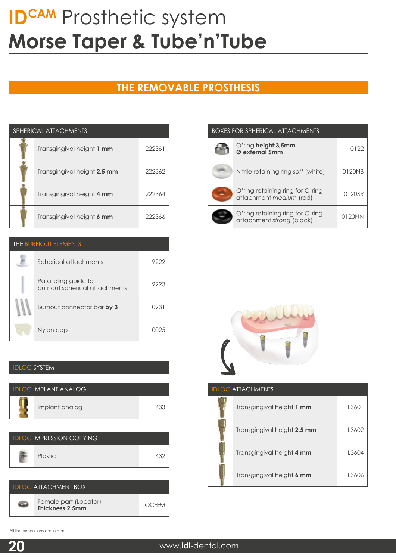## **THE REMOVABLE PROSTHESIS**

| SPHERICAL ATTACHMENTS |                             |        |
|-----------------------|-----------------------------|--------|
|                       | Transgingival height 1 mm   | 222361 |
|                       | Transgingival height 2,5 mm | 222362 |
|                       | Transgingival height 4 mm   | 222364 |
|                       | Transgingival height 6 mm   | 222366 |

| <b>THE BURNOUT ELEMENTS</b> |                                                        |      |
|-----------------------------|--------------------------------------------------------|------|
|                             | Spherical attachments                                  | 922' |
|                             | Paralleling guide for<br>burnout spherical attachments | 922  |
|                             | Burnout connector bar by 3                             | 0931 |
|                             | Nylon cap                                              |      |

#### IDLOC SYSTEM

| <b>IDLOC IMPLANT ANALOG</b> |     |
|-----------------------------|-----|
| Implant analog              | 43. |

| <b>IDLOC IMPRESSION COPYING</b> |            |
|---------------------------------|------------|
| Plastic                         | $13^\circ$ |



| <b>BOXES FOR SPHERICAL ATTACHMENTS</b> |                                                               |        |  |
|----------------------------------------|---------------------------------------------------------------|--------|--|
|                                        | O'ring height:3,5mm<br>Ø external 5mm                         | 0122   |  |
|                                        | Nitrile retaining ring soft (white)                           | 0120NB |  |
|                                        | O'ring retaining ring for O'ring<br>attachment medium (red)   | 0120SR |  |
|                                        | O'ring retaining ring for O'ring<br>attachment strong (black) | 0120NN |  |



| <b>IDLOC ATTACHMENTS</b> |                             |       |  |
|--------------------------|-----------------------------|-------|--|
|                          | Transgingival height 1 mm   | L3601 |  |
|                          | Transgingival height 2,5 mm | L3602 |  |
|                          | Transgingival height 4 mm   | L3604 |  |
|                          | Transgingival height 6 mm   | L3606 |  |

All the dimensions are in mm.